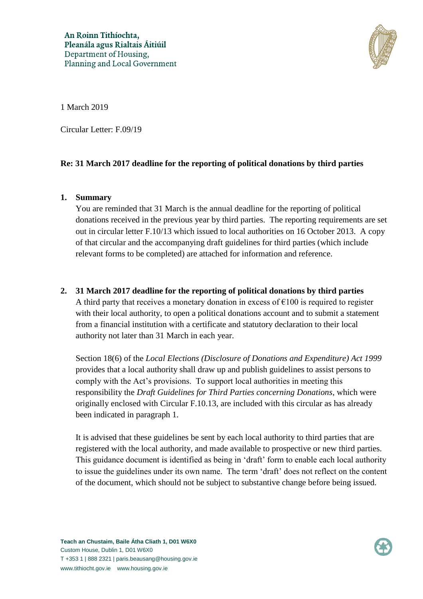

1 March 2019

Circular Letter: F.09/19

## **Re: 31 March 2017 deadline for the reporting of political donations by third parties**

## **1. Summary**

You are reminded that 31 March is the annual deadline for the reporting of political donations received in the previous year by third parties. The reporting requirements are set out in circular letter F.10/13 which issued to local authorities on 16 October 2013. A copy of that circular and the accompanying draft guidelines for third parties (which include relevant forms to be completed) are attached for information and reference.

## **2. 31 March 2017 deadline for the reporting of political donations by third parties**

A third party that receives a monetary donation in excess of  $\epsilon$ 100 is required to register with their local authority, to open a political donations account and to submit a statement from a financial institution with a certificate and statutory declaration to their local authority not later than 31 March in each year.

Section 18(6) of the *Local Elections (Disclosure of Donations and Expenditure) Act 1999* provides that a local authority shall draw up and publish guidelines to assist persons to comply with the Act's provisions. To support local authorities in meeting this responsibility the *Draft Guidelines for Third Parties concerning Donations*, which were originally enclosed with Circular F.10.13, are included with this circular as has already been indicated in paragraph 1.

It is advised that these guidelines be sent by each local authority to third parties that are registered with the local authority, and made available to prospective or new third parties. This guidance document is identified as being in 'draft' form to enable each local authority to issue the guidelines under its own name. The term 'draft' does not reflect on the content of the document, which should not be subject to substantive change before being issued.